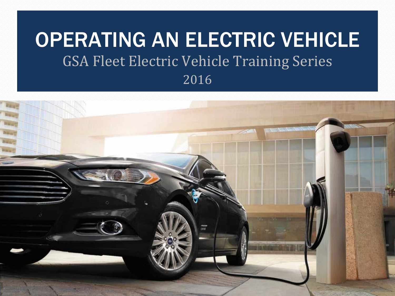#### OPERATING AN ELECTRIC VEHICLE GSA Fleet Electric Vehicle Training Series 2016

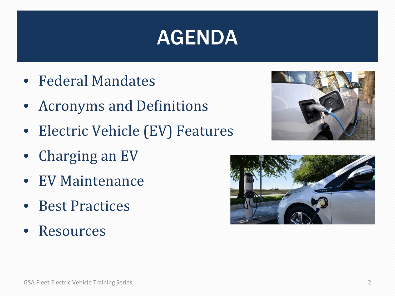## AGENDA

- Federal Mandates
- Acronyms and Definitions
- Electric Vehicle (EV) Features
- Charging an EV
- EV Maintenance
- Best Practices
- Resources



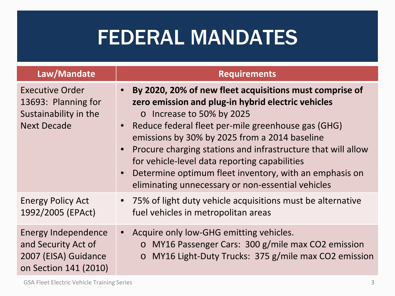## FEDERAL MANDATES

| Law/Mandate                                                                                  | <b>Requirements</b>                                                                                                                                                                                                                                                                                                                                                                                                                                                               |  |  |
|----------------------------------------------------------------------------------------------|-----------------------------------------------------------------------------------------------------------------------------------------------------------------------------------------------------------------------------------------------------------------------------------------------------------------------------------------------------------------------------------------------------------------------------------------------------------------------------------|--|--|
| <b>Executive Order</b><br>13693: Planning for<br>Sustainability in the<br><b>Next Decade</b> | By 2020, 20% of new fleet acquisitions must comprise of<br>zero emission and plug-in hybrid electric vehicles<br>o Increase to 50% by 2025<br>Reduce federal fleet per-mile greenhouse gas (GHG)<br>emissions by 30% by 2025 from a 2014 baseline<br>Procure charging stations and infrastructure that will allow<br>for vehicle-level data reporting capabilities<br>Determine optimum fleet inventory, with an emphasis on<br>eliminating unnecessary or non-essential vehicles |  |  |
| <b>Energy Policy Act</b>                                                                     | • 75% of light duty vehicle acquisitions must be alternative                                                                                                                                                                                                                                                                                                                                                                                                                      |  |  |
| 1992/2005 (EPAct)                                                                            | fuel vehicles in metropolitan areas                                                                                                                                                                                                                                                                                                                                                                                                                                               |  |  |
| <b>Energy Independence</b>                                                                   | Acquire only low-GHG emitting vehicles.                                                                                                                                                                                                                                                                                                                                                                                                                                           |  |  |
| and Security Act of                                                                          | o MY16 Passenger Cars: 300 g/mile max CO2 emission                                                                                                                                                                                                                                                                                                                                                                                                                                |  |  |
| 2007 (EISA) Guidance                                                                         | MY16 Light-Duty Trucks: 375 g/mile max CO2 emission                                                                                                                                                                                                                                                                                                                                                                                                                               |  |  |
| on Section 141 (2010)                                                                        | $\circ$                                                                                                                                                                                                                                                                                                                                                                                                                                                                           |  |  |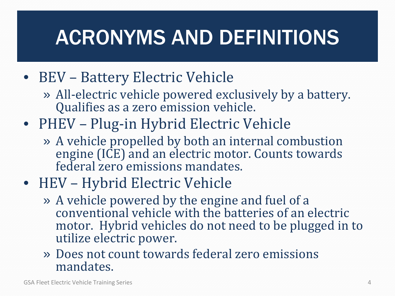# ACRONYMS AND DEFINITIONS

#### • BEV – Battery Electric Vehicle

- » All-electric vehicle powered exclusively by a battery. Qualifies as a zero emission vehicle.
- PHEV Plug-in Hybrid Electric Vehicle
	- » A vehicle propelled by both an internal combustion engine (ICE) and an electric motor. Counts towards federal zero emissions mandates.
- HEV Hybrid Electric Vehicle
	- » A vehicle powered by the engine and fuel of a conventional vehicle with the batteries of an electric motor. Hybrid vehicles do not need to be plugged in to utilize electric power.
	- » Does not count towards federal zero emissions mandates.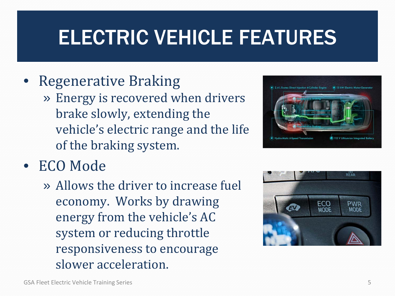## ELECTRIC VEHICLE FEATURES

#### • Regenerative Braking

» Energy is recovered when drivers brake slowly, extending the vehicle's electric range and the life of the braking system.



» Allows the driver to increase fuel economy. Works by drawing energy from the vehicle's AC system or reducing throttle responsiveness to encourage slower acceleration.



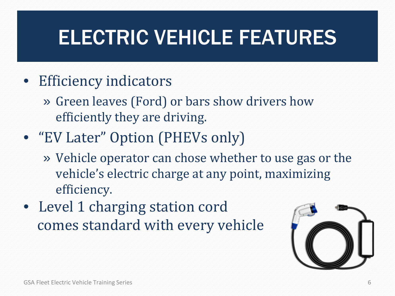# ELECTRIC VEHICLE FEATURES

- Efficiency indicators
	- » Green leaves (Ford) or bars show drivers how efficiently they are driving.
- "EV Later" Option (PHEVs only)
	- » Vehicle operator can chose whether to use gas or the vehicle's electric charge at any point, maximizing efficiency.
- Level 1 charging station cord comes standard with every vehicle

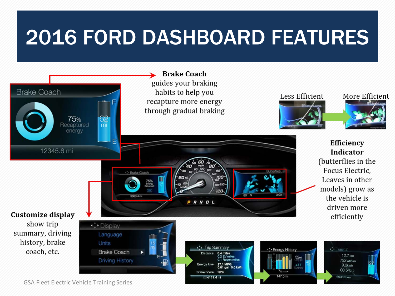## 2016 FORD DASHBOARD FEATURES



GSA Fleet Electric Vehicle Training Series 7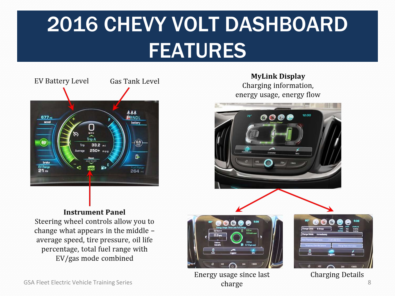# 2016 CHEVY VOLT DASHBOARD FEATURES



**MyLink Display** Charging information, energy usage, energy flow



#### **Instrument Panel**

Steering wheel controls allow you to change what appears in the middle average speed, tire pressure, oil life percentage, total fuel range with EV/gas mode combined



Energy usage since last



**Charging Details**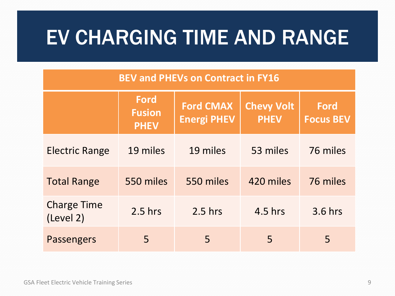#### EV CHARGING TIME AND RANGE

#### **BEV and PHEVs on Contract in FY16**

|                                 | <b>Ford</b><br><b>Fusion</b><br><b>PHEV</b> | <b>Ford CMAX</b><br><b>Energi PHEV</b> | <b>Chevy Volt</b><br><b>PHEV</b> | <b>Ford</b><br><b>Focus BEV</b> |
|---------------------------------|---------------------------------------------|----------------------------------------|----------------------------------|---------------------------------|
| <b>Electric Range</b>           | 19 miles                                    | 19 miles                               | 53 miles                         | 76 miles                        |
| <b>Total Range</b>              | 550 miles                                   | 550 miles                              | 420 miles                        | 76 miles                        |
| <b>Charge Time</b><br>(Level 2) | $2.5$ hrs                                   | $2.5$ hrs                              | 4.5 hrs                          | 3.6 hrs                         |
| <b>Passengers</b>               | 5                                           | 5                                      | 5                                | 5                               |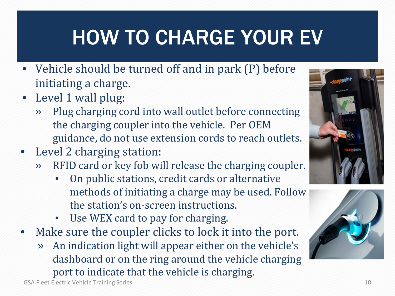# HOW TO CHARGE YOUR EV

- Vehicle should be turned off and in park (P) before initiating a charge.
- Level 1 wall plug:
	- » Plug charging cord into wall outlet before connecting the charging coupler into the vehicle. Per OEM guidance, do not use extension cords to reach outlets.
- Level 2 charging station:
	- » RFID card or key fob will release the charging coupler.
		- On public stations, credit cards or alternative methods of initiating a charge may be used. Follow the station's on-screen instructions.
		- Use WEX card to pay for charging.
- Make sure the coupler clicks to lock it into the port.
	- » An indication light will appear either on the vehicle's dashboard or on the ring around the vehicle charging port to indicate that the vehicle is charging.



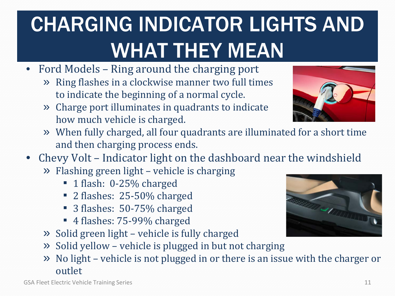# CHARGING INDICATOR LIGHTS AND WHAT THEY MEAN

- Ford Models Ring around the charging port
	- » Ring flashes in a clockwise manner two full times to indicate the beginning of a normal cycle.
	- » Charge port illuminates in quadrants to indicate how much vehicle is charged.



- » When fully charged, all four quadrants are illuminated for a short time and then charging process ends.
- Chevy Volt Indicator light on the dashboard near the windshield
	- » Flashing green light vehicle is charging
		- 1 flash: 0-25% charged
		- 2 flashes: 25-50% charged
		- 3 flashes: 50-75% charged
		- 4 flashes: 75-99% charged
	- » Solid green light vehicle is fully charged
	- » Solid yellow vehicle is plugged in but not charging
	- » No light vehicle is not plugged in or there is an issue with the charger or outlet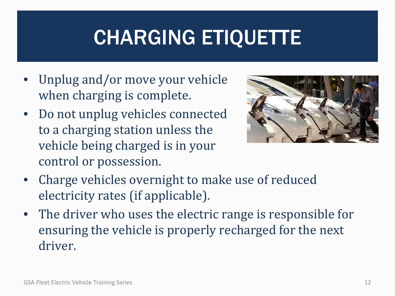# CHARGING ETIQUETTE

- Unplug and/or move your vehicle when charging is complete.
- Do not unplug vehicles connected to a charging station unless the vehicle being charged is in your control or possession.



- Charge vehicles overnight to make use of reduced electricity rates (if applicable).
- The driver who uses the electric range is responsible for ensuring the vehicle is properly recharged for the next driver.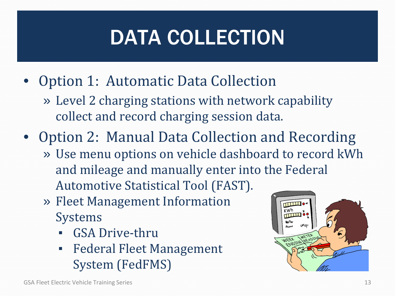# DATA COLLECTION

- Option 1: Automatic Data Collection
	- » Level 2 charging stations with network capability collect and record charging session data.
- Option 2: Manual Data Collection and Recording
	- » Use menu options on vehicle dashboard to record kWh and mileage and manually enter into the Federal Automotive Statistical Tool (FAST).
	- » Fleet Management Information Systems
		- **GSA Drive-thru**
		- **Federal Fleet Management** System (FedFMS)

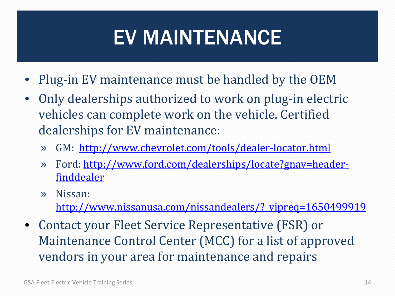# EV MAINTENANCE

- Plug-in EV maintenance must be handled by the OEM
- Only dealerships authorized to work on plug-in electric vehicles can complete work on the vehicle. Certified dealerships for EV maintenance:
	- » GM: <http://www.chevrolet.com/tools/dealer-locator.html>
	- » Ford: [http://www.ford.com/dealerships/locate?gnav=header](http://www.ford.com/dealerships/locate?gnav=header-finddealer)[finddealer](http://www.ford.com/dealerships/locate?gnav=header-finddealer)
	- » Nissan: [http://www.nissanusa.com/nissandealers/?\\_vipreq=1650499919](http://www.nissanusa.com/nissandealers/?_vipreq=1650499919)
- Contact your Fleet Service Representative (FSR) or Maintenance Control Center (MCC) for a list of approved vendors in your area for maintenance and repairs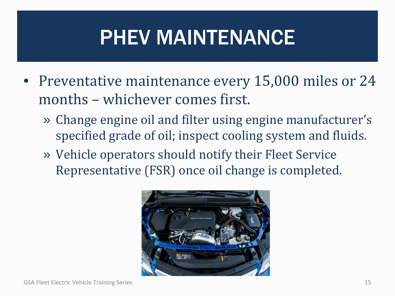# PHEV MAINTENANCE

- Preventative maintenance every 15,000 miles or 24 months – whichever comes first.
	- » Change engine oil and filter using engine manufacturer's specified grade of oil; inspect cooling system and fluids.
	- » Vehicle operators should notify their Fleet Service Representative (FSR) once oil change is completed.

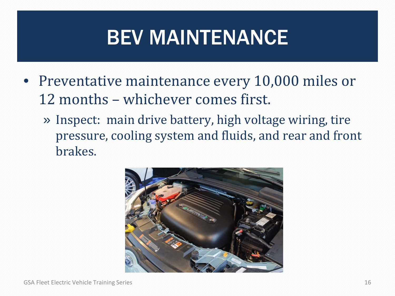# BEV MAINTENANCE

- Preventative maintenance every 10,000 miles or 12 months – whichever comes first.
	- » Inspect: main drive battery, high voltage wiring, tire pressure, cooling system and fluids, and rear and front brakes.

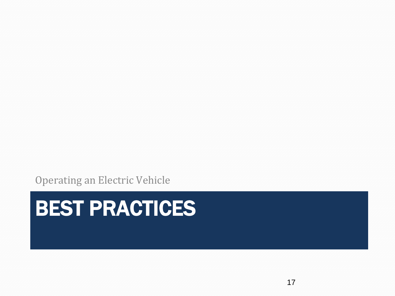Operating an Electric Vehicle

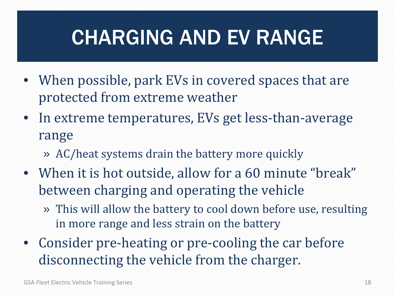# CHARGING AND EV RANGE

- When possible, park EVs in covered spaces that are protected from extreme weather
- In extreme temperatures, EVs get less-than-average range
	- » AC/heat systems drain the battery more quickly
- When it is hot outside, allow for a 60 minute "break" between charging and operating the vehicle
	- » This will allow the battery to cool down before use, resulting in more range and less strain on the battery
- Consider pre-heating or pre-cooling the car before disconnecting the vehicle from the charger.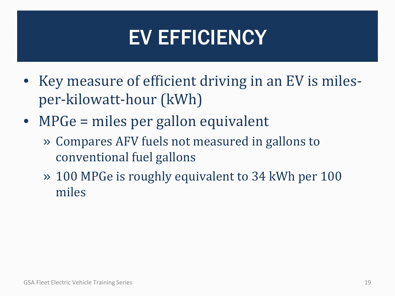## EV EFFICIENCY

- Key measure of efficient driving in an EV is milesper-kilowatt-hour (kWh)
- MPGe = miles per gallon equivalent
	- » Compares AFV fuels not measured in gallons to conventional fuel gallons
	- » 100 MPGe is roughly equivalent to 34 kWh per 100 miles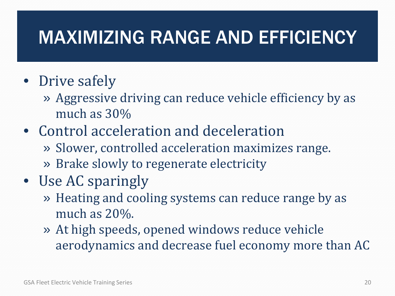#### MAXIMIZING RANGE AND EFFICIENCY

#### • Drive safely

- » Aggressive driving can reduce vehicle efficiency by as much as 30%
- Control acceleration and deceleration
	- » Slower, controlled acceleration maximizes range.
	- » Brake slowly to regenerate electricity
- Use AC sparingly
	- » Heating and cooling systems can reduce range by as much as 20%.
	- » At high speeds, opened windows reduce vehicle aerodynamics and decrease fuel economy more than AC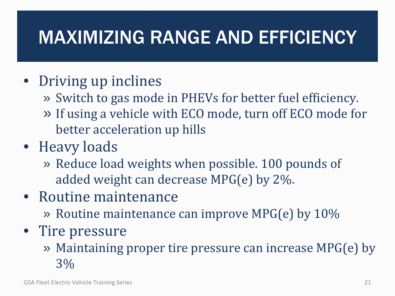#### MAXIMIZING RANGE AND EFFICIENCY

#### • Driving up inclines

- » Switch to gas mode in PHEVs for better fuel efficiency.
- » If using a vehicle with ECO mode, turn off ECO mode for better acceleration up hills
- Heavy loads
	- » Reduce load weights when possible. 100 pounds of added weight can decrease MPG(e) by 2%.
- Routine maintenance
	- » Routine maintenance can improve MPG(e) by 10%
- Tire pressure
	- » Maintaining proper tire pressure can increase MPG(e) by 3%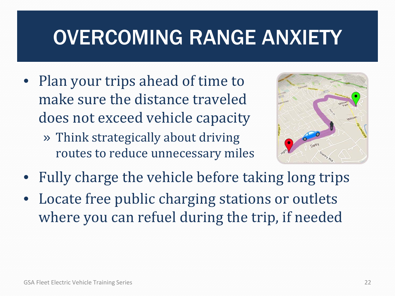## OVERCOMING RANGE ANXIETY

- Plan your trips ahead of time to make sure the distance traveled does not exceed vehicle capacity
	- » Think strategically about driving routes to reduce unnecessary miles



- Fully charge the vehicle before taking long trips
- Locate free public charging stations or outlets where you can refuel during the trip, if needed